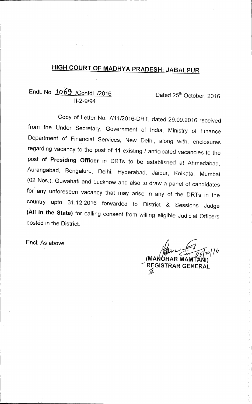# **HIGH COURT OF MADHYA PRADESH: JABALPUR**

## Endt. No. 1069 /Confdl. /2016 Dated 25<sup>th</sup> October, 2016 11-2-9/94

Copy of Letter No. 7/11/2016-DRT, dated 29.09.2016 received from the Under Secretary, Government of India, Ministry of Finance Department of Financial Services, New Delhi, along with, enclosures regarding vacancy to the post of **11** existing / anticipated vacancies to the post of **Presiding Officer** in DRTs to be established at Ahmedabad, Aurangabad, Bengaluru, Delhi, Hyderabad, Jaipur, Kolkata, Mumbai (02 Nos.), Guwahati and Lucknow and also to draw a panel of candidates for any unforeseen vacancy that may arise in any of the DRTs in the country upto 31.12.2016 forwarded to District & Sessions Judge **(All in the State)** for calling consent from willing eligible Judicial Officers posted in the District.

End: As above.

 $\rho$  ) ) k  $\boldsymbol{\mathcal{W}}$ **(MA HAR MAMTA l) REGISTRAR GENERAL**  ℁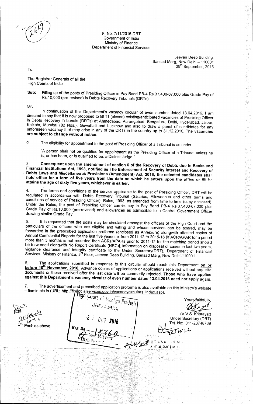#### F. No. 7/11/2016-DRT Government of India Ministry of Finance Department of Financial Services

Jeevan Deep Building, Sansad Marg, New Delhi — 110001 29<sup>th</sup> September, 2016 み<br>あたい

→ 青石 数 → はるながき 現

To,

The Registrar Generals of all the High Courts of India

**Sub:** Filling up of the posts of Presiding Officer in Pay Band P6-4 Rs.37,400-67,000 plus Grade Pay of Rs.10,000 (pre-revised) in Debts Recovery Tribunals (DRTs).

Sir,

In continuation of this Department's vacancy circular of even number dated 13.04.2016, I am directed to say that it is now proposed to fill 11 (eleven) existing/anticipated vacancies of Presiding Officer in Debts Recovery Tribunals (DRTs) at Ahmedabad, Aurangabad, Bengaluru, Delhi, Hyderabad, Jaipur, Kolkata, Mumbai (02 Nos.), Guwahati and Lucknow and also to draw a panel of candidates for any unforeseen vacancy that may arise in any of the DRTs in the country up to 31.12.2016. **The vacancies are subject to change without notice.** 

•2. The eligibility for appointment to the post of Presiding Officer of a Tribunal is as under:

"A person shall not be qualified for appointment as the Presiding Officer of a Tribunal unless he is, or has been, or is qualified to be, a District Judge."

**3. Consequent upon the amendment of section 6 of the Recovery of Debts due to Banks** and **Financial Institutions Act, 1993, notified as The Enforcement of Security Interest and Recovery of Debts Laws and Miscellaneous Provisions (Amendment) Act, 2016, the selected candidates shall hold office for a term of five years from the date on which he enters upon** the office or till he **attains the age of sixty five years, whichever is earlier.** 

The terms and conditions of the service applicable to the post of Presiding Officer, DRT will be regulated in accordance with Debts Recovery Tribunal (Salaries, Allowances and other terms and conditions of service of Presiding Officer), Rules, 1993, as amended from time to time (copy enclosed). Under the Rules, the post of Presiding Officer carries pay in Pay Band PB-4 Rs.37,400-67,000 plus Grade Pay of Rs.10,000 (pre-revised) and allowances as admissible to a Central Government Officer drawing similar Grade Pay.

5. It is requested that the posts may be circulated amongst the officers of the High Court and the particulars of the officers who are eligible and willing and whose services can be spared, may be forwarded in the prescribed application proforma (enclosed as Annexure) alongwith attested copies of Annual Confidential Reports for the last five years i.e. from 2011-12 to 2015-16 [If ACR/APAR for a period more than 3 months is not recorded then ACRs/APARs prior to 2011-12 for the matching period should be forwarded alongwith No Report Certificate (NRC)], information on disposal of cases in last two years, vigilance clearance and integrity certificate to the Under Secretary(DRT), Department of Financial Services, Ministry of Finance, 3rd Floor, Jeevan Deep Building, Sansad Marq, New Delhi-110001.

6. The applications submitted in response to this circular should reach this Department **on or before 10<sup>th</sup> November, 2016.** Advance copies of applications or applications received without requisite documents or those received after the last date will be summarily rejected. **Those who have applied against this Department's vacancy circular of even number dated 13.04.2016 need not apply** again.

7. The advertisement and prescribed application proforma is also available on this Ministry's website — finmin.nic.in (URL: <u>http://finamcialservices.gov.in/vacancycirculars\_index.asp</u>).

'yn L<sub>ot</sub> 1) *JABALFUS* Pradesh (*Julya Pradesh ) Your staithfully*, (V.V.S. Kharayat) *c\40%.1*  Under Secretary (DRT) *A—t L OCT <sup>21116</sup>* Tel. No: 011-23748769 Encl: as above  $R$ <sup>og</sup> N<sub>o</sub>  $221016$  $E$ 0g $\sigma$ • r *r*   $\bm{h}$ ich Con *<sup>E</sup>.l4k311 IVI*  s, *(011.1*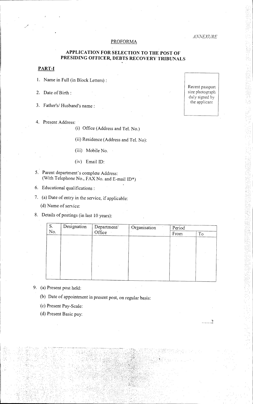#### *24NNEXURE*

#### PROFORMA

#### **APPLICATION FOR SELECTION TO THE POST OF PRESIDING OFFICER, DEBTS RECOVERY TRIBUNALS**

#### **PART-I**

- **1.** Name in Full (in Block Letters) :
- 2. Date of Birth :
- 3. Father's/ Husband's name:
- 4. Present Address:

(i) Office (Address and Tel. No.)

(ii) Residence (Address and Tel. No):

- (iii) Mobile No.
- (iv) Email ID:
- 5. Parent department's complete Address: (With Telephone No., FAX No. and E-mail ID\*)
- 6. Educational qualifications:
- 7. (a) Date of entry in the service, if applicable:

(d) Name of service:

8. Details of postings (in last 10 years):

| S.  | Designation | Department/<br>Office | Organisation | Period |    |
|-----|-------------|-----------------------|--------------|--------|----|
| No. |             |                       |              | From   | To |
|     |             |                       |              |        |    |
|     |             |                       |              |        |    |
|     |             |                       |              |        |    |
|     |             |                       |              |        |    |
|     |             |                       |              |        |    |
|     |             |                       |              |        |    |
|     |             |                       |              |        |    |
|     |             |                       |              |        |    |

- 9. (a) Present post held:
	- (b) Date of appointment in present post, on regular basis:
	- (c) Present Pay-Scale:
	- (d) Present Basic pay:

Recent passport<br>size photograph duly signed by the applicant

. . . . . . 2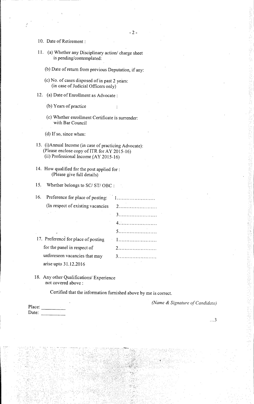- 10. Date of Retirement:
- 11. (a) Whether any Disciplinary action/ charge sheet is pending/contemplated:
	- (b) Date of return from previous Deputation, if any:
	- (c) No. of cases disposed of in past 2 years: (in case of Judicial Officers only)
- 12. (a) Date of Enrollment as Advocate:
	- (b) Years of practice
	- (c) Whether enrollment Certificate is surrender: with Bar Council

(d) If so, since when:

- 13. (i)Annual Income (in case of practicing Advocate): (Please enclose copy of ITR for AY 2015-16) (ii) Professional Income (AY 2015-16)
- 14. How qualified for the post applied for: (Please give full details)
- 15. Whether belongs to SC/ ST/ OBC :

16. Preference for place of posting: (In respect of existing vacancies 2

- 17. Preference for place of posting 1 for the panel in respect of 2 unforeseen vacancies that may 3 arise upto 31.12.2016
- 18. Any other Qualifications/ Experience not covered above:

Certified that the information furnished above by me is correct.

*(Name & Signature of Candidate)* 

 $\ldots$  3

| Place: | ٠ |
|--------|---|
| Date:  |   |

3 4

5